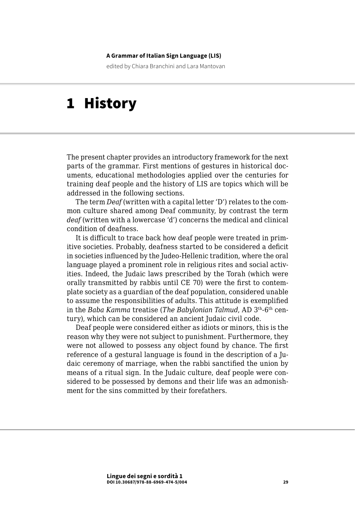#### **A Grammar of Italian Sign Language (LIS)**

edited by Chiara Branchini and Lara Mantovan

# 1 History

The present chapter provides an introductory framework for the next parts of the grammar. First mentions of gestures in historical documents, educational methodologies applied over the centuries for training deaf people and the history of LIS are topics which will be addressed in the following sections.

The term *Deaf* (written with a capital letter 'D') relates to the common culture shared among Deaf community, by contrast the term *deaf* (written with a lowercase 'd') concerns the medical and clinical condition of deafness.

It is difficult to trace back how deaf people were treated in primitive societies. Probably, deafness started to be considered a deficit in societies influenced by the Judeo-Hellenic tradition, where the oral language played a prominent role in religious rites and social activities. Indeed, the Judaic laws prescribed by the Torah (which were orally transmitted by rabbis until CE 70) were the first to contemplate society as a guardian of the deaf population, considered unable to assume the responsibilities of adults. This attitude is exemplified in the *Baba Kamma* treatise (*The Babylonian Talmud*, AD 3th-6th century), which can be considered an ancient Judaic civil code.

Deaf people were considered either as idiots or minors, this is the reason why they were not subject to punishment. Furthermore, they were not allowed to possess any object found by chance. The first reference of a gestural language is found in the description of a Judaic ceremony of marriage, when the rabbi sanctified the union by means of a ritual sign. In the Judaic culture, deaf people were considered to be possessed by demons and their life was an admonishment for the sins committed by their forefathers.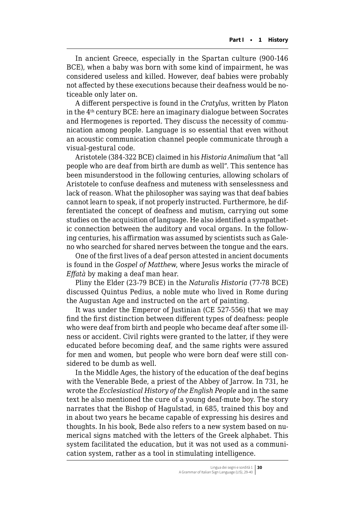In ancient Greece, especially in the Spartan culture (900-146 BCE), when a baby was born with some kind of impairment, he was considered useless and killed. However, deaf babies were probably not affected by these executions because their deafness would be noticeable only later on.

A different perspective is found in the *Cratylus*, written by Platon in the 4th century BCE: here an imaginary dialogue between Socrates and Hermogenes is reported. They discuss the necessity of communication among people. Language is so essential that even without an acoustic communication channel people communicate through a visual-gestural code.

Aristotele (384-322 BCE) claimed in his *Historia Animalium* that "all people who are deaf from birth are dumb as well". This sentence has been misunderstood in the following centuries, allowing scholars of Aristotele to confuse deafness and muteness with senselessness and lack of reason. What the philosopher was saying was that deaf babies cannot learn to speak, if not properly instructed. Furthermore, he differentiated the concept of deafness and mutism, carrying out some studies on the acquisition of language. He also identified a sympathetic connection between the auditory and vocal organs. In the following centuries, his affirmation was assumed by scientists such as Galeno who searched for shared nerves between the tongue and the ears.

One of the first lives of a deaf person attested in ancient documents is found in the *Gospel of Matthew*, where Jesus works the miracle of *Effatà* by making a deaf man hear.

Pliny the Elder (23-79 BCE) in the *Naturalis Historia* (77-78 BCE) discussed Quintus Pedius, a noble mute who lived in Rome during the Augustan Age and instructed on the art of painting.

It was under the Emperor of Justinian (CE 527-556) that we may find the first distinction between different types of deafness: people who were deaf from birth and people who became deaf after some illness or accident. Civil rights were granted to the latter, if they were educated before becoming deaf, and the same rights were assured for men and women, but people who were born deaf were still considered to be dumb as well.

In the Middle Ages, the history of the education of the deaf begins with the Venerable Bede, a priest of the Abbey of Jarrow. In 731, he wrote the *Ecclesiastical History of the English People* and in the same text he also mentioned the cure of a young deaf-mute boy. The story narrates that the Bishop of Hagulstad, in 685, trained this boy and in about two years he became capable of expressing his desires and thoughts. In his book, Bede also refers to a new system based on numerical signs matched with the letters of the Greek alphabet. This system facilitated the education, but it was not used as a communication system, rather as a tool in stimulating intelligence.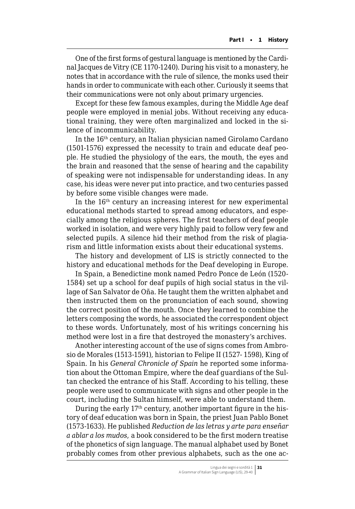One of the first forms of gestural language is mentioned by the Cardinal Jacques de Vitry (CE 1170-1240). During his visit to a monastery, he notes that in accordance with the rule of silence, the monks used their hands in order to communicate with each other. Curiously it seems that their communications were not only about primary urgencies.

Except for these few famous examples, during the Middle Age deaf people were employed in menial jobs. Without receiving any educational training, they were often marginalized and locked in the silence of incommunicability.

In the 16th century, an Italian physician named Girolamo Cardano (1501-1576) expressed the necessity to train and educate deaf people. He studied the physiology of the ears, the mouth, the eyes and the brain and reasoned that the sense of hearing and the capability of speaking were not indispensable for understanding ideas. In any case, his ideas were never put into practice, and two centuries passed by before some visible changes were made.

In the 16th century an increasing interest for new experimental educational methods started to spread among educators, and especially among the religious spheres. The first teachers of deaf people worked in isolation, and were very highly paid to follow very few and selected pupils. A silence hid their method from the risk of plagiarism and little information exists about their educational systems.

The history and development of LIS is strictly connected to the history and educational methods for the Deaf developing in Europe.

In Spain, a Benedictine monk named Pedro Ponce de León (1520- 1584) set up a school for deaf pupils of high social status in the village of San Salvator de Oña. He taught them the written alphabet and then instructed them on the pronunciation of each sound, showing the correct position of the mouth. Once they learned to combine the letters composing the words, he associated the correspondent object to these words. Unfortunately, most of his writings concerning his method were lost in a fire that destroyed the monastery's archives.

Another interesting account of the use of signs comes from Ambrosio de Morales (1513-1591), historian to Felipe II (1527- 1598), King of Spain. In his *General Chronicle of Spain* he reported some information about the Ottoman Empire, where the deaf guardians of the Sultan checked the entrance of his Staff. According to his telling, these people were used to communicate with signs and other people in the court, including the Sultan himself, were able to understand them.

During the early 17th century, another important figure in the history of deaf education was born in Spain, the priest Juan Pablo Bonet (1573-1633). He published *Reduction de las letras y arte para enseñar a ablar a los mudos*, a book considered to be the first modern treatise of the phonetics of sign language. The manual alphabet used by Bonet probably comes from other previous alphabets, such as the one ac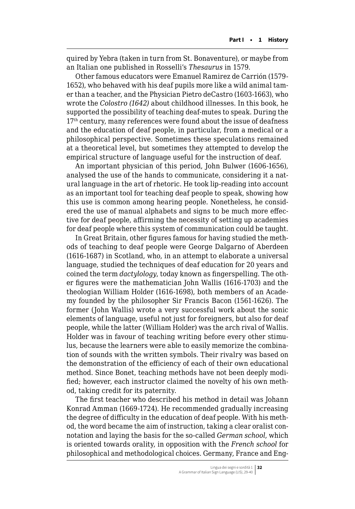quired by Yebra (taken in turn from St. Bonaventure), or maybe from an Italian one published in Rosselli's *Thesaurus* in 1579.

Other famous educators were Emanuel Ramirez de Carrión (1579- 1652), who behaved with his deaf pupils more like a wild animal tamer than a teacher, and the Physician Pietro deCastro (1603-1663), who wrote the *Colostro (1642)* about childhood illnesses. In this book, he supported the possibility of teaching deaf-mutes to speak. During the 17<sup>th</sup> century, many references were found about the issue of deafness and the education of deaf people, in particular, from a medical or a philosophical perspective. Sometimes these speculations remained at a theoretical level, but sometimes they attempted to develop the empirical structure of language useful for the instruction of deaf.

An important physician of this period, John Bulwer (1606-1656), analysed the use of the hands to communicate, considering it a natural language in the art of rhetoric. He took lip-reading into account as an important tool for teaching deaf people to speak, showing how this use is common among hearing people. Nonetheless, he considered the use of manual alphabets and signs to be much more effective for deaf people, affirming the necessity of setting up academies for deaf people where this system of communication could be taught.

In Great Britain, other figures famous for having studied the methods of teaching to deaf people were George Dalgarno of Aberdeen (1616-1687) in Scotland, who, in an attempt to elaborate a universal language, studied the techniques of deaf education for 20 years and coined the term *dactylology*, today known as fingerspelling. The other figures were the mathematician John Wallis (1616-1703) and the theologian William Holder (1616-1698), both members of an Academy founded by the philosopher Sir Francis Bacon (1561-1626). The former (John Wallis) wrote a very successful work about the sonic elements of language, useful not just for foreigners, but also for deaf people, while the latter (William Holder) was the arch rival of Wallis. Holder was in favour of teaching writing before every other stimulus, because the learners were able to easily memorize the combination of sounds with the written symbols. Their rivalry was based on the demonstration of the efficiency of each of their own educational method. Since Bonet, teaching methods have not been deeply modified; however, each instructor claimed the novelty of his own method, taking credit for its paternity.

The first teacher who described his method in detail was Johann Konrad Amman (1669-1724). He recommended gradually increasing the degree of difficulty in the education of deaf people. With his method, the word became the aim of instruction, taking a clear oralist connotation and laying the basis for the so-called *German school*, which is oriented towards orality, in opposition with the *French school* for philosophical and methodological choices. Germany, France and Eng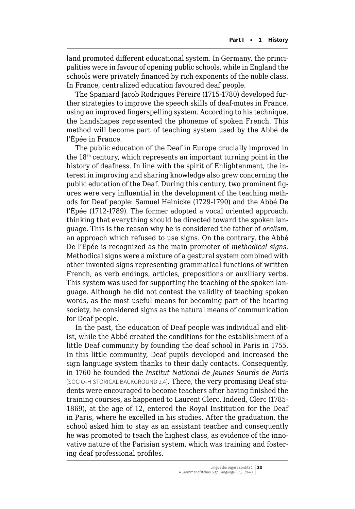land promoted different educational system. In Germany, the principalities were in favour of opening public schools, while in England the schools were privately financed by rich exponents of the noble class. In France, centralized education favoured deaf people.

The Spaniard Jacob Rodrigues Péreire (1715-1780) developed further strategies to improve the speech skills of deaf-mutes in France, using an improved fingerspelling system. According to his technique, the handshapes represented the phoneme of spoken French. This method will become part of teaching system used by the Abbé de l'Épée in France.

The public education of the Deaf in Europe crucially improved in the 18th century, which represents an important turning point in the history of deafness. In line with the spirit of Enlightenment, the interest in improving and sharing knowledge also grew concerning the public education of the Deaf. During this century, two prominent figures were very influential in the development of the teaching methods for Deaf people: Samuel Heinicke (1729-1790) and the Abbé De l'Épée (1712-1789). The former adopted a vocal oriented approach, thinking that everything should be directed toward the spoken language. This is the reason why he is considered the father of *oralism*, an approach which refused to use signs. On the contrary, the Abbé De l'Épée is recognized as the main promoter of *methodical signs*. Methodical signs were a mixture of a gestural system combined with other invented signs representing grammatical functions of written French, as verb endings, articles, prepositions or auxiliary verbs. This system was used for supporting the teaching of the spoken language. Although he did not contest the validity of teaching spoken words, as the most useful means for becoming part of the hearing society, he considered signs as the natural means of communication for Deaf people.

In the past, the education of Deaf people was individual and elitist, while the Abbé created the conditions for the establishment of a little Deaf community by founding the deaf school in Paris in 1755. In this little community, Deaf pupils developed and increased the sign language system thanks to their daily contacts. Consequently, in 1760 he founded the *Institut National de Jeunes Sourds de Paris*  [SOCIO-HISTORICAL BACKGROUND 2.4]. There, the very promising Deaf students were encouraged to become teachers after having finished the training courses, as happened to Laurent Clerc. Indeed, Clerc (1785- 1869), at the age of 12, entered the Royal Institution for the Deaf in Paris, where he excelled in his studies. After the graduation, the school asked him to stay as an assistant teacher and consequently he was promoted to teach the highest class, as evidence of the innovative nature of the Parisian system, which was training and fostering deaf professional profiles.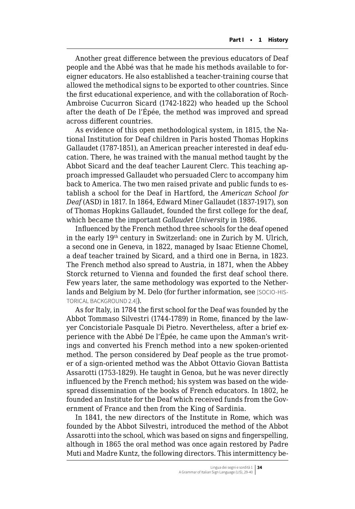Another great difference between the previous educators of Deaf people and the Abbé was that he made his methods available to foreigner educators. He also established a teacher-training course that allowed the methodical signs to be exported to other countries. Since the first educational experience, and with the collaboration of Roch-Ambroise Cucurron Sicard (1742-1822) who headed up the School after the death of De l'Épée, the method was improved and spread across different countries.

As evidence of this open methodological system, in 1815, the National Institution for Deaf children in Paris hosted Thomas Hopkins Gallaudet (1787-1851), an American preacher interested in deaf education. There, he was trained with the manual method taught by the Abbot Sicard and the deaf teacher Laurent Clerc. This teaching approach impressed Gallaudet who persuaded Clerc to accompany him back to America. The two men raised private and public funds to establish a school for the Deaf in Hartford, the *American School for Deaf* (ASD) in 1817. In 1864, Edward Miner Gallaudet (1837-1917), son of Thomas Hopkins Gallaudet, founded the first college for the deaf, which became the important *Gallaudet University* in 1986.

Influenced by the French method three schools for the deaf opened in the early 19th century in Switzerland: one in Zurich by M. Ulrich, a second one in Geneva, in 1822, managed by Isaac Etienne Chomel, a deaf teacher trained by Sicard, and a third one in Berna, in 1823. The French method also spread to Austria, in 1871, when the Abbey Storck returned to Vienna and founded the first deaf school there. Few years later, the same methodology was exported to the Netherlands and Belgium by M. Delo (for further information, see [SOCIO-HIS-TORICAL BACKGROUND 2.4]).

As for Italy, in 1784 the first school for the Deaf was founded by the Abbot Tommaso Silvestri (1744-1789) in Rome, financed by the lawyer Concistoriale Pasquale Di Pietro. Nevertheless, after a brief experience with the Abbé De l'Épée, he came upon the Amman's writings and converted his French method into a new spoken-oriented method. The person considered by Deaf people as the true promoter of a sign-oriented method was the Abbot Ottavio Giovan Battista Assarotti (1753-1829). He taught in Genoa, but he was never directly influenced by the French method; his system was based on the widespread dissemination of the books of French educators. In 1802, he founded an Institute for the Deaf which received funds from the Government of France and then from the King of Sardinia.

In 1841, the new directors of the Institute in Rome, which was founded by the Abbot Silvestri, introduced the method of the Abbot Assarotti into the school, which was based on signs and fingerspelling, although in 1865 the oral method was once again restored by Padre Muti and Madre Kuntz, the following directors. This intermittency be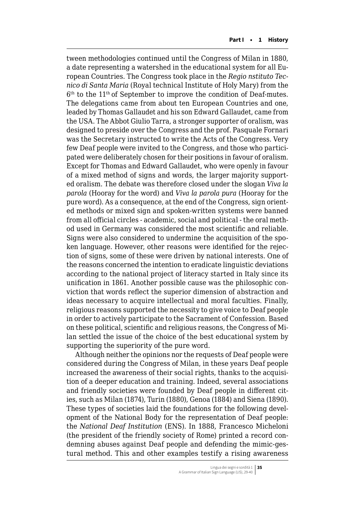tween methodologies continued until the Congress of Milan in 1880, a date representing a watershed in the educational system for all European Countries. The Congress took place in the *Regio nstituto Tecnico di Santa Maria* (Royal technical Institute of Holy Mary) from the 6th to the 11th of September to improve the condition of Deaf-mutes. The delegations came from about ten European Countries and one, leaded by Thomas Gallaudet and his son Edward Gallaudet, came from the USA. The Abbot Giulio Tarra, a stronger supporter of oralism, was designed to preside over the Congress and the prof. Pasquale Fornari was the Secretary instructed to write the Acts of the Congress. Very few Deaf people were invited to the Congress, and those who participated were deliberately chosen for their positions in favour of oralism. Except for Thomas and Edward Gallaudet, who were openly in favour of a mixed method of signs and words, the larger majority supported oralism. The debate was therefore closed under the slogan *Viva la parola* (Hooray for the word) and *Viva la parola pura* (Hooray for the pure word). As a consequence, at the end of the Congress, sign oriented methods or mixed sign and spoken-written systems were banned from all official circles - academic, social and political - the oral method used in Germany was considered the most scientific and reliable. Signs were also considered to undermine the acquisition of the spoken language. However, other reasons were identified for the rejection of signs, some of these were driven by national interests. One of the reasons concerned the intention to eradicate linguistic deviations according to the national project of literacy started in Italy since its unification in 1861. Another possible cause was the philosophic conviction that words reflect the superior dimension of abstraction and ideas necessary to acquire intellectual and moral faculties. Finally, religious reasons supported the necessity to give voice to Deaf people in order to actively participate to the Sacrament of Confession. Based on these political, scientific and religious reasons, the Congress of Milan settled the issue of the choice of the best educational system by supporting the superiority of the pure word.

Although neither the opinions nor the requests of Deaf people were considered during the Congress of Milan, in these years Deaf people increased the awareness of their social rights, thanks to the acquisition of a deeper education and training. Indeed, several associations and friendly societies were founded by Deaf people in different cities, such as Milan (1874), Turin (1880), Genoa (1884) and Siena (1890). These types of societies laid the foundations for the following development of the National Body for the representation of Deaf people: the *National Deaf Institution* (ENS). In 1888, Francesco Micheloni (the president of the friendly society of Rome) printed a record condemning abuses against Deaf people and defending the mimic-gestural method. This and other examples testify a rising awareness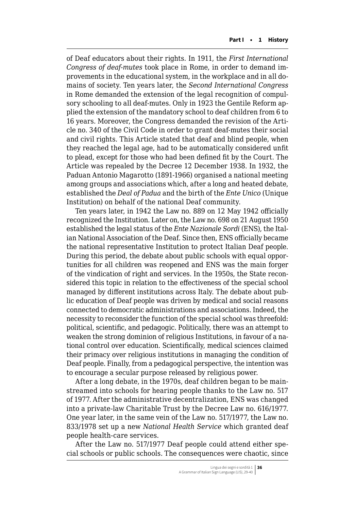of Deaf educators about their rights. In 1911, the *First International Congress of deaf-mutes* took place in Rome, in order to demand improvements in the educational system, in the workplace and in all domains of society. Ten years later, the *Second International Congress* in Rome demanded the extension of the legal recognition of compulsory schooling to all deaf-mutes. Only in 1923 the Gentile Reform applied the extension of the mandatory school to deaf children from 6 to 16 years. Moreover, the Congress demanded the revision of the Article no. 340 of the Civil Code in order to grant deaf-mutes their social and civil rights. This Article stated that deaf and blind people, when they reached the legal age, had to be automatically considered unfit to plead, except for those who had been defined fit by the Court. The Article was repealed by the Decree 12 December 1938. In 1932, the Paduan Antonio Magarotto (1891-1966) organised a national meeting among groups and associations which, after a long and heated debate, established the *Deal of Padua* and the birth of the *Ente Unico* (Unique Institution) on behalf of the national Deaf community.

Ten years later, in 1942 the Law no. 889 on 12 May 1942 officially recognized the Institution. Later on, the Law no. 698 on 21 August 1950 established the legal status of the *Ente Nazionale Sordi* (ENS), the Italian National Association of the Deaf. Since then, ENS officially became the national representative Institution to protect Italian Deaf people. During this period, the debate about public schools with equal opportunities for all children was reopened and ENS was the main forger of the vindication of right and services. In the 1950s, the State reconsidered this topic in relation to the effectiveness of the special school managed by different institutions across Italy. The debate about public education of Deaf people was driven by medical and social reasons connected to democratic administrations and associations. Indeed, the necessity to reconsider the function of the special school was threefold: political, scientific, and pedagogic. Politically, there was an attempt to weaken the strong dominion of religious Institutions, in favour of a national control over education. Scientifically, medical sciences claimed their primacy over religious institutions in managing the condition of Deaf people. Finally, from a pedagogical perspective, the intention was to encourage a secular purpose released by religious power.

After a long debate, in the 1970s, deaf children began to be mainstreamed into schools for hearing people thanks to the Law no. 517 of 1977. After the administrative decentralization, ENS was changed into a private-law Charitable Trust by the Decree Law no. 616/1977. One year later, in the same vein of the Law no. 517/1977, the Law no. 833/1978 set up a new *National Health Service* which granted deaf people health-care services.

After the Law no. 517/1977 Deaf people could attend either special schools or public schools. The consequences were chaotic, since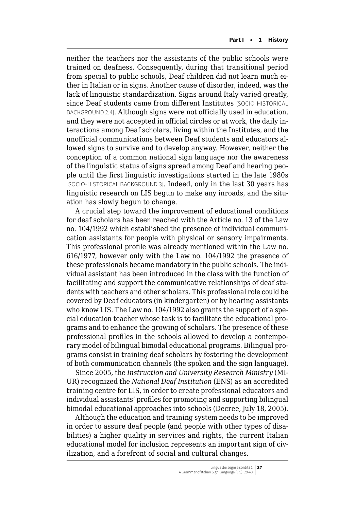neither the teachers nor the assistants of the public schools were trained on deafness. Consequently, during that transitional period from special to public schools, Deaf children did not learn much either in Italian or in signs. Another cause of disorder, indeed, was the lack of linguistic standardization. Signs around Italy varied greatly, since Deaf students came from different Institutes [SOCIO-HISTORICAL BACKGROUND 2.4]. Although signs were not officially used in education, and they were not accepted in official circles or at work, the daily interactions among Deaf scholars, living within the Institutes, and the unofficial communications between Deaf students and educators allowed signs to survive and to develop anyway. However, neither the conception of a common national sign language nor the awareness of the linguistic status of signs spread among Deaf and hearing people until the first linguistic investigations started in the late 1980s [SOCIO-HISTORICAL BACKGROUND 3]. Indeed, only in the last 30 years has linguistic research on LIS begun to make any inroads, and the situation has slowly begun to change.

A crucial step toward the improvement of educational conditions for deaf scholars has been reached with the Article no. 13 of the Law no. 104/1992 which established the presence of individual communication assistants for people with physical or sensory impairments. This professional profile was already mentioned within the Law no. 616/1977, however only with the Law no. 104/1992 the presence of these professionals became mandatory in the public schools. The individual assistant has been introduced in the class with the function of facilitating and support the communicative relationships of deaf students with teachers and other scholars. This professional role could be covered by Deaf educators (in kindergarten) or by hearing assistants who know LIS. The Law no. 104/1992 also grants the support of a special education teacher whose task is to facilitate the educational programs and to enhance the growing of scholars. The presence of these professional profiles in the schools allowed to develop a contemporary model of bilingual bimodal educational programs. Bilingual programs consist in training deaf scholars by fostering the development of both communication channels (the spoken and the sign language).

Since 2005, the *Instruction and University Research Ministry* (MI-UR) recognized the *National Deaf Institution* (ENS) as an accredited training centre for LIS, in order to create professional educators and individual assistants' profiles for promoting and supporting bilingual bimodal educational approaches into schools (Decree, July 18, 2005).

Although the education and training system needs to be improved in order to assure deaf people (and people with other types of disabilities) a higher quality in services and rights, the current Italian educational model for inclusion represents an important sign of civilization, and a forefront of social and cultural changes.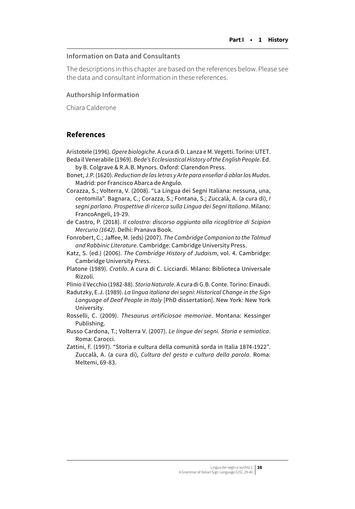### **Information on Data and Consultants**

The descriptions in this chapter are based on the references below. Please see the data and consultant information in these references.

#### **Authorship Information**

Chiara Calderone

## **References**

Aristotele (1996). *Opere biologiche*. A cura di D. Lanza e M. Vegetti. Torino: UTET. Beda il Venerabile (1969). *Bede's Ecclesiastical History of the English People*. Ed.

by B. Colgrave & R.A.B. Mynors. Oxford: Clarendon Press.

Bonet, J.P. (1620). *Reduction de las letras y Arte para enseñar á ablar los Mudos*. Madrid: por Francisco Abarca de Angulo.

Corazza, S.; Volterra, V. (2008). "La Lingua dei Segni Italiana: nessuna, una, centomila". Bagnara, C.; Corazza, S.; Fontana, S.; Zuccalà, A. (a cura di), *I segni parlano. Prospettive di ricerca sulla Lingua dei Segni Italiana*. Milano: FrancoAngeli, 19-29.

de Castro, P. (2018). *Il colostro: discorso aggiunto alla ricoglitrice di Scipion Mercurio (1642)*. Delhi: Pranava Book.

Fonrobert, C.; Jaffee, M. (eds) (2007). *The Cambridge Companion to the Talmud and Rabbinic Literature*. Cambridge: Cambridge University Press.

- Katz, S. (ed.) (2006). *The Cambridge History of Judaism*, vol. 4. Cambridge: Cambridge University Press.
- Platone (1989). *Cratilo*. A cura di C. Licciardi. Milano: Biblioteca Universale Rizzoli.

Plinio il Vecchio (1982-88). *Storia Naturale*. A cura di G.B. Conte. Torino: Einaudi.

- Radutzky, E.J. (1989). *La lingua italiana dei segni: Historical Change in the Sign Language of Deaf People in Italy* [PhD dissertation]. New York: New York University.
- Rosselli, C. (2009). *Thesaurus artificiosae memoriae*. Montana: Kessinger Publishing.
- Russo Cardona, T.; Volterra V. (2007). *Le lingue dei segni. Storia e semiotica*. Roma: Carocci.
- Zattini, F. (1997). "Storia e cultura della comunità sorda in Italia 1874-1922". Zuccalà, A. (a cura di), *Cultura del gesto e cultura della parola*. Roma: Meltemi, 69-83.